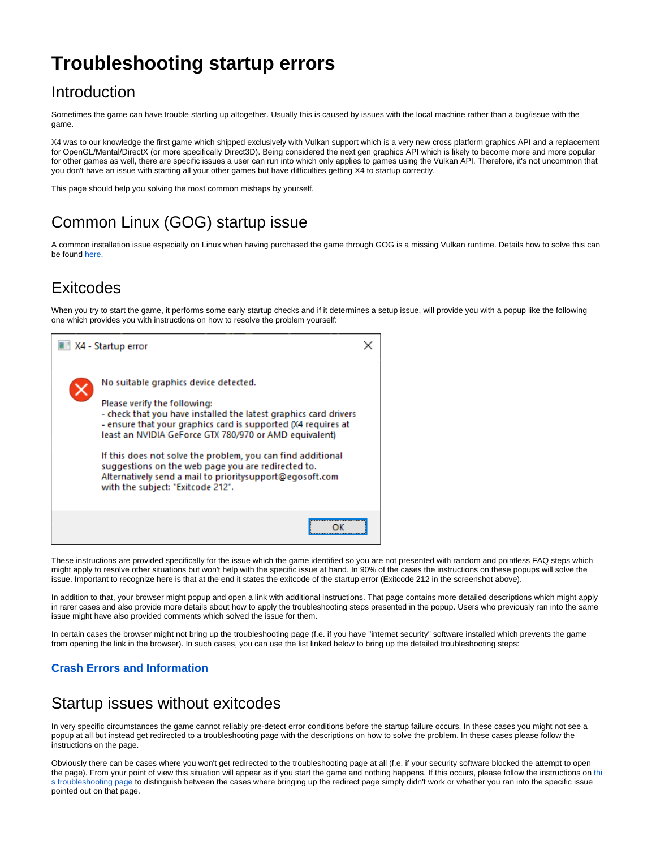# **Troubleshooting startup errors**

#### Introduction

Sometimes the game can have trouble starting up altogether. Usually this is caused by issues with the local machine rather than a bug/issue with the game.

X4 was to our knowledge the first game which shipped exclusively with Vulkan support which is a very new cross platform graphics API and a replacement for OpenGL/Mental/DirectX (or more specifically Direct3D). Being considered the next gen graphics API which is likely to become more and more popular for other games as well, there are specific issues a user can run into which only applies to games using the Vulkan API. Therefore, it's not uncommon that you don't have an issue with starting all your other games but have difficulties getting X4 to startup correctly.

This page should help you solving the most common mishaps by yourself.

## Common Linux (GOG) startup issue

A common installation issue especially on Linux when having purchased the game through GOG is a missing Vulkan runtime. Details how to solve this can be found [here](https://www.egosoft.com:8443/jira/browse/X4-313#SolvingthemissingVulkanruntimeissueonLinux).

#### **Exitcodes**

When you try to start the game, it performs some early startup checks and if it determines a setup issue, will provide you with a popup like the following one which provides you with instructions on how to resolve the problem yourself:



These instructions are provided specifically for the issue which the game identified so you are not presented with random and pointless FAQ steps which might apply to resolve other situations but won't help with the specific issue at hand. In 90% of the cases the instructions on these popups will solve the issue. Important to recognize here is that at the end it states the exitcode of the startup error (Exitcode 212 in the screenshot above).

In addition to that, your browser might popup and open a link with additional instructions. That page contains more detailed descriptions which might apply in rarer cases and also provide more details about how to apply the troubleshooting steps presented in the popup. Users who previously ran into the same issue might have also provided comments which solved the issue for them.

In certain cases the browser might not bring up the troubleshooting page (f.e. if you have "internet security" software installed which prevents the game from opening the link in the browser). In such cases, you can use the list linked below to bring up the detailed troubleshooting steps:

#### **[Crash Errors and Information](https://www.egosoft.com:8444/confluence/display/X4WIKI/Crash+Errors+and+Information)**

#### Startup issues without exitcodes

In very specific circumstances the game cannot reliably pre-detect error conditions before the startup failure occurs. In these cases you might not see a popup at all but instead get redirected to a troubleshooting page with the descriptions on how to solve the problem. In these cases please follow the instructions on the page.

Obviously there can be cases where you won't get redirected to the troubleshooting page at all (f.e. if your security software blocked the attempt to open the page). From your point of view [thi](https://www.egosoft.com:8443/jira/browse/X4-313)s situation will appear as if you start the game and nothing happens. If this occurs, please follow the instructions on thi [s troubleshooting page](https://www.egosoft.com:8443/jira/browse/X4-313) to distinguish between the cases where bringing up the redirect page simply didn't work or whether you ran into the specific issue pointed out on that page.